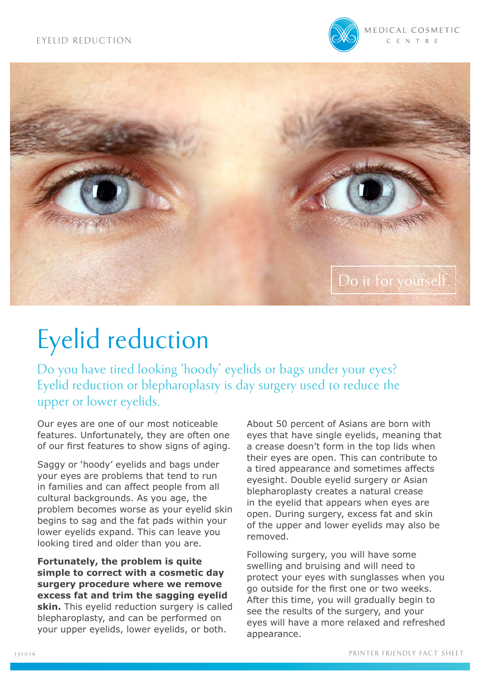



# Eyelid reduction

Do you have tired looking 'hoody' eyelids or bags under your eyes? Eyelid reduction or blepharoplasty is day surgery used to reduce the upper or lower eyelids.

Our eyes are one of our most noticeable features. Unfortunately, they are often one of our first features to show signs of aging.

Saggy or 'hoody' eyelids and bags under your eyes are problems that tend to run in families and can affect people from all cultural backgrounds. As you age, the problem becomes worse as your eyelid skin begins to sag and the fat pads within your lower eyelids expand. This can leave you looking tired and older than you are.

**Fortunately, the problem is quite simple to correct with a cosmetic day surgery procedure where we remove excess fat and trim the sagging eyelid skin.** This eyelid reduction surgery is called blepharoplasty, and can be performed on your upper eyelids, lower eyelids, or both.

About 50 percent of Asians are born with eyes that have single eyelids, meaning that a crease doesn't form in the top lids when their eyes are open. This can contribute to a tired appearance and sometimes affects eyesight. Double eyelid surgery or Asian blepharoplasty creates a natural crease in the eyelid that appears when eyes are open. During surgery, excess fat and skin of the upper and lower eyelids may also be removed.

Following surgery, you will have some swelling and bruising and will need to protect your eyes with sunglasses when you go outside for the first one or two weeks. After this time, you will gradually begin to see the results of the surgery, and your eyes will have a more relaxed and refreshed appearance.